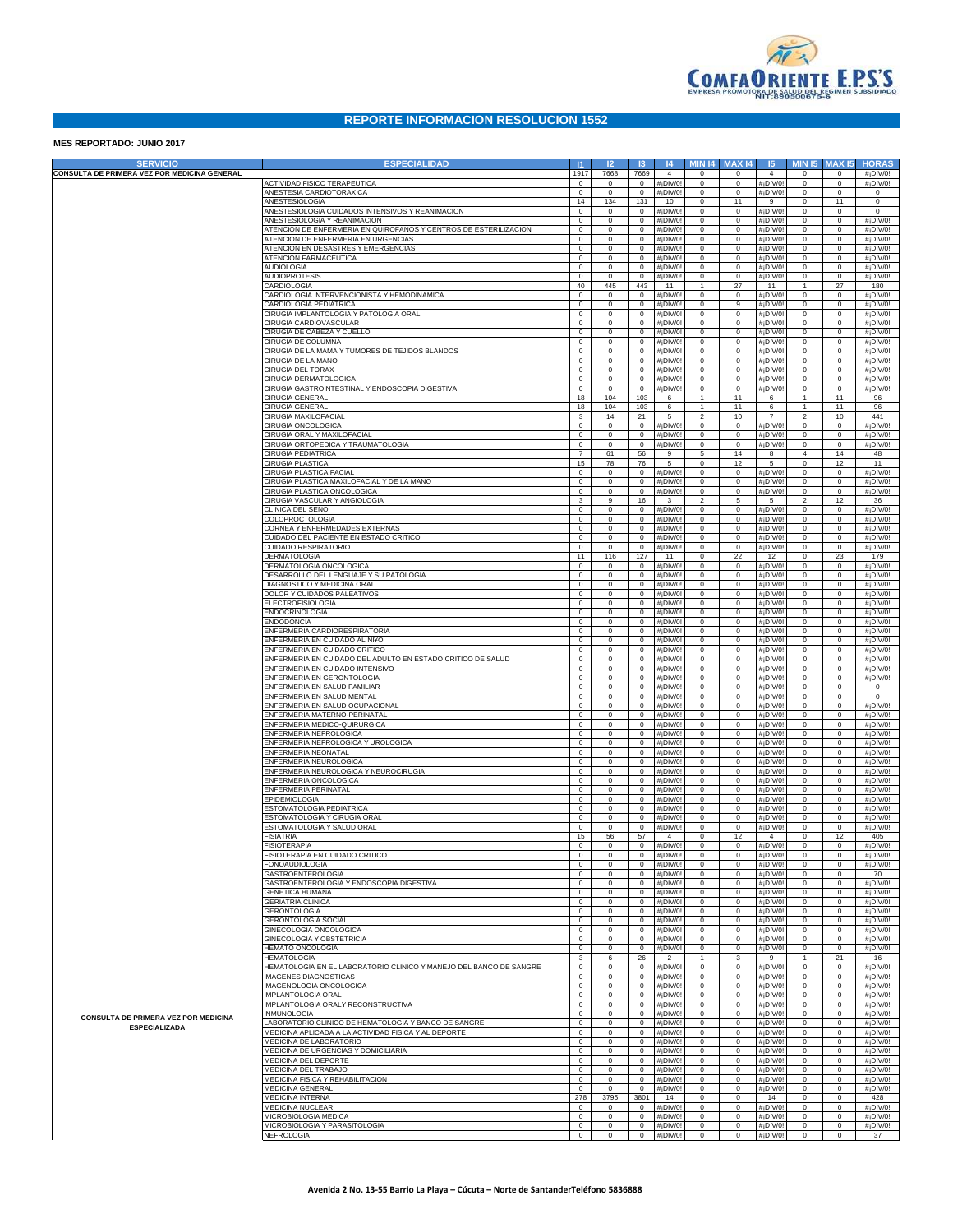

## **REPORTE INFORMACION RESOLUCION 1552**

## **MES REPORTADO: JUNIO 2017**

| <b>SERVICIO</b>                              | <b>ESPECIALIDAD</b>                                                                              | $\mathbf{H}$                  | 12                          | 13                             | 4                                         |                                | <b>MIN 14 MAX 14</b>   | 5                                                  | <b>MIN 15</b>                  | <b>MAX15</b>               | <b>HORAS</b>                                       |
|----------------------------------------------|--------------------------------------------------------------------------------------------------|-------------------------------|-----------------------------|--------------------------------|-------------------------------------------|--------------------------------|------------------------|----------------------------------------------------|--------------------------------|----------------------------|----------------------------------------------------|
| CONSULTA DE PRIMERA VEZ POR MEDICINA GENERAL |                                                                                                  | 1917                          | 7668                        | 7669                           | $\overline{4}$                            | $^{\circ}$                     | $\circ$                | $\overline{4}$                                     | $^{\circ}$                     | $^{\circ}$                 | $#$ <sub>i</sub> DIV/0!                            |
|                                              | ACTIVIDAD FISICO TERAPEUTICA<br>ANESTESIA CARDIOTORAXICA                                         | $\circ$<br>$\circ$            | $\circ$<br>$\circ$          | $\mathbf{0}$<br>$\circ$        | #¡DIV/0<br>#¡DIV/0                        | $^{\circ}$<br>0                | $\circ$<br>$^{\circ}$  | $#$ <sub>i</sub> DIV/0!<br>$#$ <sub>i</sub> DIV/0! | $^{\circ}$<br>$^{\circ}$       | $\mathbf 0$<br>$\mathbf 0$ | $#$ <sub>i</sub> DIV/0!<br>$\mathbf{0}$            |
|                                              | ANESTESIOLOGIA                                                                                   | 14                            | 134                         | 131                            | 10                                        | 0                              | 11                     | 9                                                  | $^{\circ}$                     | 11                         | $\mathbf{0}$                                       |
|                                              | ANESTESIOLOGIA CUIDADOS INTENSIVOS Y REANIMACION                                                 | $\mathbf 0$                   | 0                           | $\circ$                        | #¡DIV/0                                   | $^{\circ}$                     | $\circ$                | #¡DIV/0                                            | $^{\circ}$                     | $^{\circ}$                 | $^{\circ}$                                         |
|                                              | ANESTESIOLOGIA Y REANIMACION<br>ATENCION DE ENFERMERIA EN QUIROFANOS Y CENTROS DE ESTERILIZACION | $\mathbf 0$<br>$\mathbf 0$    | $\mathbf 0$<br>$\mathbf{0}$ | $\mathbf{0}$<br>$\mathbf{0}$   | #¡DIV/0<br>#¡DIV/0                        | $\mathbf 0$<br>0               | $\circ$<br>$\circ$     | $#$ <sub>i</sub> DIV/0<br>$#$ <sub>i</sub> DIV/0   | $^{\circ}$<br>0                | $\mathbf 0$<br>$\mathbf 0$ | #¡DIV/0!<br>$#$ <sub>i</sub> DIV/0!                |
|                                              | ATENCION DE ENFERMERIA EN URGENCIAS                                                              | $\circ$                       | $\mathbf{0}$                | $\circ$                        | #¡DIV/0                                   | 0                              | $\circ$                | $#$ <sub>i</sub> DIV/0                             | 0                              | $^{\circ}$                 | $#$ <sub>i</sub> DIV/0!                            |
|                                              | ATENCION EN DESASTRES Y EMERGENCIAS                                                              | $\circ$                       | $\circ$                     | $\circ$                        | #¡DIV/0                                   | 0                              | $\circ$                | $#$ <sub>i</sub> DIV/0                             | 0                              | $\mathbf 0$                | $#$ <sub>i</sub> DIV/0!                            |
|                                              | ATENCION FARMACEUTICA<br><b>AUDIOLOGIA</b>                                                       | $\mathbf 0$<br>$\mathbf 0$    | $\mathbf 0$<br>0            | $\circ$<br>$\circ$             | #¡DIV/0<br>#¡DIV/0                        | 0<br>$\mathsf 0$               | $\circ$<br>$\circ$     | $#$ <sub>i</sub> DIV/0<br>$#$ <sub>i</sub> DIV/0   | $^{\circ}$<br>$^{\circ}$       | $\mathbf 0$<br>$\mathbf 0$ | $#$ <sub>i</sub> DIV/0!<br>$#$ <sub>i</sub> DIV/0! |
|                                              | <b>AUDIOPROTESIS</b>                                                                             | $\mathbf 0$                   | 0                           | $\circ$                        | #¡DIV/0                                   | $\mathbf 0$                    | $\circ$                | $#$ <sub>i</sub> DIV/0                             | $^{\circ}$                     | $\mathbf 0$                | $#$ <sub>i</sub> DIV/0!                            |
|                                              | CARDIOLOGIA                                                                                      | 40                            | 445                         | 443                            | 11                                        | $\mathbf{1}$                   | 27                     | 11                                                 | $\mathbf{1}$                   | 27                         | 180                                                |
|                                              | CARDIOLOGIA INTERVENCIONISTA Y HEMODINAMICA<br>CARDIOLOGIA PEDIATRICA                            | $\circ$<br>$\circ$            | $\circ$<br>$\circ$          | $\circ$<br>$\circ$             | #¡DIV/0<br>#¡DIV/0                        | 0<br>0                         | $\circ$<br>9           | $#$ <sub>i</sub> DIV/0<br>$#$ <sub>i</sub> DIV/0   | 0<br>0                         | $\mathbf 0$<br>$\mathbf 0$ | #¡DIV/0!<br>$#$ <sub>i</sub> DIV/0!                |
|                                              | CIRUGIA IMPLANTOLOGIA Y PATOLOGIA ORAL                                                           | $\mathbf 0$                   | $\mathbf 0$                 | $\circ$                        | #¡DIV/0                                   | 0                              | $\mathsf 0$            | $#$ <sub>i</sub> DIV/0                             | $^{\circ}$                     | $\mathbf 0$                | $#$ <sub>i</sub> DIV/0!                            |
|                                              | CIRUGIA CARDIOVASCULAR                                                                           | $\mathbf 0$                   | 0                           | $\circ$                        | #¡DIV/0                                   | $\mathsf 0$                    | $\circ$                | $#$ <sub>i</sub> DIV/0                             | $^{\circ}$                     | $\mathbf 0$                | $#$ <sub>i</sub> DIV/0!                            |
|                                              | CIRUGIA DE CABEZA Y CUELLO<br>CIRUGIA DE COLUMNA                                                 | $\mathbf 0$<br>$\circ$        | 0<br>$\mathbf{0}$           | $\mathbf{0}$<br>$\circ$        | #¡DIV/0<br>#¡DIV/0                        | $\mathbf 0$<br>0               | $\circ$<br>$\circ$     | $#$ <sub>i</sub> DIV/0<br>$#$ <sub>i</sub> DIV/0   | 0<br>0                         | $\mathbf 0$<br>$\mathbf 0$ | $#$ <sub>i</sub> DIV/0!<br>$#$ <sub>i</sub> DIV/0! |
|                                              | CIRUGIA DE LA MAMA Y TUMORES DE TEJIDOS BLANDOS                                                  | $\circ$                       | $\circ$                     | $\circ$                        | #¡DIV/0                                   | 0                              | $\circ$                | $#$ <sub>i</sub> DIV/0                             | 0                              | $\mathbf 0$                | $#$ <sub>i</sub> DIV/0!                            |
|                                              | CIRUGIA DE LA MANO                                                                               | $\mathbf 0$                   | $\mathbf 0$                 | $\circ$                        | #¡DIV/0                                   | 0                              | $\circ$                | $#$ <sub>i</sub> DIV/0                             | 0                              | $\mathbf 0$                | $#$ <sub>i</sub> DIV/0!                            |
|                                              | <b>CIRUGIA DEL TORAX</b><br>CIRUGIA DERMATOLOGICA                                                | $\mathbf 0$<br>$\mathbf 0$    | $\mathbf 0$<br>0            | $\circ$<br>$\circ$             | #¡DIV/0<br>#¡DIV/0                        | 0<br>$\mathbf 0$               | $\circ$<br>$\circ$     | $#$ <sub>i</sub> DIV/0<br>$#$ <sub>i</sub> DIV/0   | $^{\circ}$<br>0                | $\mathbf 0$<br>$\mathbf 0$ | $#$ <sub>i</sub> DIV/0!<br>$#$ <sub>i</sub> DIV/0! |
|                                              | CIRUGIA GASTROINTESTINAL Y ENDOSCOPIA DIGESTIVA                                                  | $\mathbf 0$                   | 0                           | $\circ$                        | #¡DIV/0                                   | $\mathbf 0$                    | $\circ$                | #¡DIV/0                                            | 0                              | $\mathbf 0$                | $#$ <sub>i</sub> DIV/0!                            |
|                                              | CIRUGIA GENERAL                                                                                  | 18                            | 104                         | 103                            | 6                                         | $\mathbf{1}$                   | 11                     | 6                                                  | $\mathbf{1}$                   | 11                         | 96                                                 |
|                                              | CIRUGIA GENERAL<br>CIRUGIA MAXILOFACIAL                                                          | 18<br>3                       | 104<br>14                   | 103<br>21                      | 6<br>$5\phantom{.0}$                      | $\mathbf{1}$<br>$\overline{2}$ | 11<br>10               | 6<br>$\overline{7}$                                | $\mathbf{1}$<br>$\overline{2}$ | 11<br>10                   | 96<br>441                                          |
|                                              | CIRUGIA ONCOLOGICA                                                                               | $\mathbf 0$                   | $\circ$                     | $\circ$                        | #¡DIV/0                                   | $\mathbf 0$                    | $\circ$                | #¡DIV/0                                            | $^{\circ}$                     | $^{\circ}$                 | #¡DIV/0!                                           |
|                                              | CIRUGIA ORAL Y MAXILOFACIAL                                                                      | $\mathbf 0$                   | $\mathbf 0$                 | $\mathbf{0}$                   | #¡DIV/0                                   | $\mathbf 0$                    | $\circ$                | $#$ <sub>i</sub> DIV/0                             | 0                              | $\mathbf 0$                | $#$ <sub>i</sub> DIV/0!                            |
|                                              | CIRUGIA ORTOPEDICA Y TRAUMATOLOGIA<br>CIRUGIA PEDIATRICA                                         | $\mathsf 0$<br>$\overline{7}$ | $\mathbf{0}$<br>61          | $\circ$<br>56                  | #¡DIV/0<br>9                              | $\mathbf 0$<br>5               | $\circ$<br>14          | $#$ <sub>i</sub> DIV/0<br>$\boldsymbol{8}$         | $^{\circ}$<br>$\overline{4}$   | $^{\circ}$<br>14           | $#$ <sub>i</sub> DIV/0!<br>48                      |
|                                              | CIRUGIA PLASTICA                                                                                 | 15                            | 78                          | 76                             | $5\phantom{.0}$                           | 0                              | 12                     | $5\phantom{.0}$                                    | $^{\circ}$                     | 12                         | 11                                                 |
|                                              | CIRUGIA PLASTICA FACIAL                                                                          | $\circ$                       | $\mathbf 0$                 | $\circ$                        | #¡DIV/0                                   | 0                              | $\mathbf 0$            | #¡DIV/0                                            | $\circ$                        | $\mathbf 0$                | #¡DIV/0!                                           |
|                                              | CIRUGIA PLASTICA MAXILOFACIAL Y DE LA MANO<br>CIRUGIA PLASTICA ONCOLOGICA                        | $\mathbf 0$<br>$\mathbf 0$    | 0<br>$\mathbf 0$            | $\circ$<br>$\circ$             | #¡DIV/0<br>#¡DIV/0                        | $\mathbf 0$<br>$\mathbf 0$     | $\mathsf 0$<br>$\circ$ | #¡DIV/0<br>$#$ <sub>i</sub> DIV/0                  | $^{\circ}$<br>$\circ$          | $\mathbf 0$<br>$\mathbf 0$ | $#$ <sub>i</sub> DIV/0!<br>$#$ <sub>i</sub> DIV/0! |
|                                              | CIRUGIA VASCULAR Y ANGIOLOGIA                                                                    | 3                             | 9                           | 16                             | $\mathbf{3}$                              | $\overline{2}$                 | 5                      | $5\phantom{.0}$                                    | $\overline{2}$                 | 12                         | 36                                                 |
|                                              | CLINICA DEL SENO                                                                                 | $\mathbf 0$                   | $\mathbf 0$                 | $\circ$                        | #¡DIV/0                                   | 0                              | 0                      | $#$ <sub>i</sub> DIV/0                             | 0                              | $\mathbf 0$                | #¡DIV/0!                                           |
|                                              | COLOPROCTOLOGIA<br>CORNEA Y ENFERMEDADES EXTERNAS                                                | $\mathbf 0$<br>$\mathbf 0$    | $\mathbf 0$<br>$\mathbf 0$  | $\circ$<br>$\circ$             | #¡DIV/0<br>#¡DIV/0                        | 0<br>0                         | $\circ$<br>$\circ$     | $#$ <sub>i</sub> DIV/0<br>$#$ <sub>i</sub> DIV/0   | 0<br>0                         | $\mathbf 0$<br>$\mathbf 0$ | $#$ <sub>i</sub> DIV/0!<br>$#$ <sub>i</sub> DIV/0! |
|                                              | CUIDADO DEL PACIENTE EN ESTADO CRITICO                                                           | $\mathbf 0$                   | 0                           | $\circ$                        | #¡DIV/0                                   | $\mathsf 0$                    | $\mathsf 0$            | $#$ <sub>i</sub> DIV/0                             | $\circ$                        | $\mathbf 0$                | $#$ <sub>i</sub> DIV/0!                            |
|                                              | CUIDADO RESPIRATORIO<br>DERMATOLOGIA                                                             | $\mathbf 0$<br>11             | 0<br>116                    | $\circ$<br>127                 | #¡DIV/0<br>11                             | $\mathbf 0$<br>0               | $\circ$<br>22          | $#$ <sub>i</sub> DIV/0<br>12                       | 0<br>0                         | $\mathbf 0$<br>23          | $#$ <sub>i</sub> DIV/0!<br>179                     |
|                                              | DERMATOLOGIA ONCOLOGICA                                                                          | $\circ$                       | $\circ$                     | $\circ$                        | #¡DIV/0                                   | 0                              | $\circ$                | #¡DIV/0                                            | 0                              | $\mathbf 0$                | #¡DIV/0!                                           |
|                                              | DESARROLLO DEL LENGUAJE Y SU PATOLOGIA                                                           | $\mathbf 0$                   | $\mathbf 0$                 | $\circ$                        | #¡DIV/0                                   | 0                              | $\circ$                | $#$ <sub>i</sub> DIV/0                             | 0                              | $\mathbf 0$                | $#$ <sub>i</sub> DIV/0!                            |
|                                              | DIAGNOSTICO Y MEDICINA ORAL<br>DOLOR Y CUIDADOS PALEATIVOS                                       | $\mathbf 0$<br>$\mathbf 0$    | $\mathbf 0$<br>0            | $\circ$<br>$\mathbf{0}$        | #¡DIV/0<br>#¡DIV/0                        | $\mathbf 0$<br>$\mathsf 0$     | $\circ$<br>$\circ$     | $#$ <sub>i</sub> DIV/0<br>$#$ <sub>i</sub> DIV/0   | $\circ$<br>$\circ$             | $\mathbf 0$<br>$\mathbf 0$ | $#$ <sub>i</sub> DIV/0!<br>$#$ <sub>i</sub> DIV/0! |
|                                              | <b>ELECTROFISIOLOGIA</b>                                                                         | $\mathbf 0$                   | $\mathbf 0$                 | $\mathbf{0}$                   | #¡DIV/0                                   | $\mathbf 0$                    | $\circ$                | $#$ <sub>i</sub> DIV/0                             | 0                              | $\mathbf 0$                | $#$ <sub>i</sub> DIV/0!                            |
|                                              | ENDOCRINOLOGIA                                                                                   | $\circ$                       | $\circ$                     | $\circ$                        | #¡DIV/0                                   | 0                              | $\circ$                | $#$ <sub>i</sub> DIV/0                             | 0                              | $\mathbf 0$                | $#$ <sub>i</sub> DIV/0!                            |
|                                              | ENDODONCIA<br>ENFERMERIA CARDIORESPIRATORIA                                                      | $\circ$<br>$\mathbf 0$        | $\circ$<br>$\mathbf 0$      | $\circ$<br>$\circ$             | #¡DIV/0<br>#¡DIV/0                        | 0<br>0                         | $\circ$<br>$\circ$     | $#$ <sub>i</sub> DIV/0<br>$#$ <sub>i</sub> DIV/0   | 0<br>0                         | $\mathbf 0$<br>$\mathbf 0$ | $#$ <sub>i</sub> DIV/0!<br>$#$ <sub>i</sub> DIV/0! |
|                                              | INFERMERIA EN CUIDADO AL NI¥O                                                                    | $\mathbf 0$                   | 0                           | $\circ$                        | #¡DIV/0                                   | $\mathbf 0$                    | $\circ$                | $#$ <sub>i</sub> DIV/0                             | $^{\circ}$                     | $\mathbf 0$                | $#$ <sub>i</sub> DIV/0!                            |
|                                              | ENFERMERIA EN CUIDADO CRITICO<br>ENFERMERIA EN CUIDADO DEL ADULTO EN ESTADO CRITICO DE SALUD     | $\mathbf 0$<br>$\mathbf 0$    | 0<br>$\mathbf 0$            | $\mathbf{0}$<br>$\mathbf{0}$   | #¡DIV/0<br>#¡DIV/0                        | $\mathbf 0$<br>0               | $\circ$<br>$\circ$     | $#$ <sub>i</sub> DIV/0<br>$#$ <sub>i</sub> DIV/0   | $\circ$<br>0                   | $\mathbf 0$<br>$\mathbf 0$ | $#$ <sub>i</sub> DIV/0!<br>$#$ <sub>i</sub> DIV/0! |
|                                              | ENFERMERIA EN CUIDADO INTENSIVO                                                                  | $\circ$                       | $\mathbf{0}$                | $\circ$                        | #¡DIV/0                                   | 0                              | $\circ$                | $#$ <sub>i</sub> DIV/0                             | 0                              | $\mathbf 0$                | $#$ <sub>i</sub> DIV/0!                            |
|                                              | ENFERMERIA EN GERONTOLOGIA                                                                       | $\mathbf 0$                   | $\circ$                     | $\circ$                        | #¡DIV/0                                   | 0                              | $\circ$                | $#$ <sub>i</sub> DIV/0                             | 0                              | $\mathbf 0$                | $#$ <sub>i</sub> DIV/0!                            |
|                                              | ENFERMERIA EN SALUD FAMILIAR<br>ENFERMERIA EN SALUD MENTAL                                       | $\mathbf 0$<br>$\mathbf 0$    | $\mathbf 0$<br>0            | $\circ$<br>$\circ$             | #¡DIV/0<br>#¡DIV/0                        | 0<br>$\mathsf 0$               | $\circ$<br>$\circ$     | $#$ <sub>i</sub> DIV/0<br>$#$ <sub>i</sub> DIV/0   | 0<br>$^{\circ}$                | $\mathbf 0$<br>$\mathbf 0$ | $\circ$<br>0                                       |
|                                              | ENFERMERIA EN SALUD OCUPACIONAL                                                                  | $\mathbf 0$                   | 0                           | $\mathbf{0}$                   | #¡DIV/0                                   | $\mathbf 0$                    | $\circ$                | $#$ <sub>i</sub> DIV/0                             | $\circ$                        | $\mathbf 0$                | $#$ <sub>i</sub> DIV/0!                            |
|                                              | ENFERMERIA MATERNO-PERINATAL                                                                     | $\mathbf 0$                   | $\mathbf{0}$                | $\circ$                        | #¡DIV/0                                   | 0                              | $\circ$                | $#$ <sub>i</sub> DIV/0                             | 0                              | $\mathbf 0$                | $#$ <sub>i</sub> DIV/0!                            |
|                                              | ENFERMERIA MEDICO-QUIRURGICA<br><b>ENFERMERIA NEFROLOGICA</b>                                    | $\circ$<br>$\mathbf 0$        | $\circ$<br>$\mathbf 0$      | $\circ$<br>$\circ$             | #¡DIV/0<br>#¡DIV/0                        | 0<br>0                         | $\circ$<br>$\circ$     | $#$ <sub>i</sub> DIV/0<br>$#$ <sub>i</sub> DIV/0   | 0<br>0                         | $\mathbf 0$<br>$\mathbf 0$ | $#$ <sub>i</sub> DIV/0!<br>$#$ <sub>i</sub> DIV/0! |
|                                              | ENFERMERIA NEFROLOGICA Y UROLOGICA                                                               | $\mathbf 0$                   | $\mathbf 0$                 | $\circ$                        | #¡DIV/0                                   | 0                              | $\circ$                | $#$ <sub>i</sub> DIV/0                             | $\circ$                        | $\mathbf 0$                | $#$ <sub>i</sub> DIV/0!                            |
|                                              | ENFERMERIA NEONATAL<br>ENFERMERIA NEUROLOGICA                                                    | $\mathbf 0$<br>$\mathbf 0$    | 0<br>0                      | $\circ$<br>$\mathbf{0}$        | #¡DIV/0<br>#¡DIV/0                        | $\circ$<br>$\mathbf 0$         | $\circ$<br>$\circ$     | $#$ <sub>i</sub> DIV/0<br>$#$ <sub>i</sub> DIV/0   | $\circ$<br>$\circ$             | $\mathbf 0$<br>$\mathbf 0$ | $#$ <sub>i</sub> DIV/0!<br>$#$ <sub>i</sub> DIV/0! |
|                                              | ENFERMERIA NEUROLOGICA Y NEUROCIRUGIA                                                            | $\circ$                       | $\mathbf{0}$                | $\circ$                        | #¡DIV/0                                   | 0                              | $\circ$                | $#$ <sub>i</sub> DIV/0                             | 0                              | $^{\circ}$                 | $#$ <sub>i</sub> DIV/0!                            |
|                                              | ENFERMERIA ONCOLOGICA                                                                            | $\circ$                       | $\circ$                     | $\circ$                        | #¡DIV/0                                   | 0                              | $\circ$                | $#$ <sub>i</sub> DIV/0                             | 0                              | $^{\circ}$                 | $#$ <sub>i</sub> DIV/0!                            |
|                                              | ENFERMERIA PERINATAL<br>PIDEMIOLOGIA                                                             | $\mathbf 0$<br>$\mathbf 0$    | $\circ$<br>$\mathbf 0$      | $\circ$<br>$\circ$             | #¡DIV/0<br>#¡DIV/0                        | 0<br>$\circ$                   | $\circ$<br>$\circ$     | $#$ <sub>i</sub> DIV/0<br>$#$ <sub>i</sub> DIV/0   | 0<br>$^{\circ}$                | $\mathbf 0$<br>$\mathbf 0$ | $#$ <sub>i</sub> DIV/0!<br>$#$ <sub>i</sub> DIV/0! |
|                                              | STOMATOLOGIA PEDIATRICA                                                                          | $\mathbf{0}$                  | 0                           | $\mathbf{0}$                   | #¡DIV/0                                   | $\circ$                        | 0                      | $#$ <sub>i</sub> DIV/0                             | $^{\circ}$                     | $\mathbf 0$                | $#$ <sub>i</sub> DIV/0!                            |
|                                              | STOMATOLOGIA Y CIRUGIA ORAL                                                                      | $\circ$                       | 0                           | 0                              | #¡DIV/0                                   | 0                              | 0                      | $#$ <sub>i</sub> DIV/0                             | 0                              | $\mathbf 0$                | $#$ <sub>i</sub> DIV/0!                            |
|                                              | STOMATOLOGIA Y SALUD ORAL<br><b>FISIATRIA</b>                                                    | $\circ$<br>15                 | 0<br>56                     | $^{\circ}$<br>57               | #¡DIV/0<br>$\overline{4}$                 | 0<br>$\mathsf 0$               | $\circ$<br>12          | $#$ <sub>i</sub> DIV/0<br>$\overline{4}$           | $^{\circ}$<br>$\circ$          | $\mathbf 0$<br>12          | $#$ <sub>i</sub> DIV/0!<br>405                     |
|                                              | <b>FISIOTERAPIA</b>                                                                              | $\circ$                       | $\mathbf 0$                 | $\mathbf 0$                    | #¡DIV/0                                   | $\mathsf 0$                    | $\circ$                | $#$ <sub>i</sub> DIV/0!                            | $^{\circ}$                     | $^{\circ}$                 | #¡DIV/0!                                           |
|                                              | <b>FISIOTERAPIA EN CUIDADO CRITICO</b><br><b>FONOAUDIOLOGIA</b>                                  | $\mathbf 0$<br>$\circ$        | $\mathbf 0$                 |                                | $0$ #;DIV/0!<br>$0$ # <sub>i</sub> DIV/0! | $^{\circ}$                     | $\mathbf{0}$           | #¡DIV/0!<br>#¡DIV/0!                               | $^{\circ}$                     | 0<br>$\mathbf 0$           | #¡DIV/0!<br>$#$ <sub>i</sub> DIV/0!                |
|                                              | GASTROENTEROLOGIA                                                                                | $\circ$                       | $\mathbf 0$                 | $\mathbf{0}$                   | #¡DIV/0                                   | $\mathsf 0$                    | $\mathbf{0}$           | #¡DIV/0!                                           | $^{\circ}$                     | $\circ$                    | 70                                                 |
|                                              | GASTROENTEROLOGIA Y ENDOSCOPIA DIGESTIVA                                                         | $\circ$                       | $\mathbf 0$                 | $\mathbf{0}$                   | #¡DIV/0                                   | $\mathsf 0$                    | $\overline{0}$         | #¡DIV/0!                                           | $\circ$                        | $\circ$                    | $#$ <sub>i</sub> DIV/0!                            |
|                                              | <b>GENETICA HUMANA</b><br>GERIATRIA CLINICA                                                      | $\circ$<br>$\circ$            | $\mathbf 0$<br>$\mathbf 0$  | $\overline{0}$<br>$\mathbf{0}$ | #¡DIV/0!<br>#¡DIV/0!                      | $\mathsf 0$<br>$\mathsf 0$     | $\circ$<br>$\circ$     | #¡DIV/0!<br>#¡DIV/0!                               | $\circ$<br>$\mathbf 0$         | $\circ$<br>$\circ$         | $#$ <sub>i</sub> DIV/0!<br>$#$ <sub>i</sub> DIV/0! |
|                                              | <b>GERONTOLOGIA</b>                                                                              | $\circ$                       | $\mathbf 0$                 | $\mathbf{0}$                   | #¡DIV/0                                   | $\mathsf 0$                    | $\mathbf 0$            | #¡DIV/0!                                           | $\mathsf 0$                    | $\circ$                    | $#$ <sub>i</sub> DIV/0!                            |
|                                              | <b>GERONTOLOGIA SOCIAL</b>                                                                       | $\circ$                       | $\mathbf 0$                 | $\overline{0}$                 | #¡DIV/0                                   | $\mathsf 0$                    | $\circ$                | #¡DIV/0!                                           | $\mathsf 0$                    | $\circ$                    | $#$ <sub>i</sub> DIV/0!                            |
|                                              | GINECOLOGIA ONCOLOGICA<br>GINECOLOGIA Y OBSTETRICIA                                              | $\mathbf 0$<br>$\mathbf 0$    | $\mathbf 0$<br>$\mathbf 0$  | $\overline{0}$<br>$\mathbf{0}$ | #¡DIV/0<br>#¡DIV/0!                       | $\mathsf 0$<br>$\mathbf 0$     | $\circ$<br>$\circ$     | #¡DIV/0!<br>#¡DIV/0!                               | $\circ$<br>$\circ$             | $\circ$<br>$\circ$         | $#$ <sub>i</sub> DIV/0!<br>$#$ <sub>i</sub> DIV/0! |
|                                              | <b>HEMATO ONCOLOGIA</b>                                                                          | $\circ$                       | $\circ$                     | $\overline{0}$                 | #¡DIV/0!                                  | $\mathbf 0$                    | $\circ$                | #¡DIV/0!                                           | $\mathbf 0$                    | $\circ$                    | $#$ <sub>i</sub> DIV/0!                            |
|                                              | <b>HEMATOLOGIA</b><br>HEMATOLOGIA EN EL LABORATORIO CLINICO Y MANEJO DEL BANCO DE SANGRE         | $\mathbf{3}$<br>$\circ$       | 6<br>$\mathbf 0$            | 26<br>$\circ$                  | $\overline{2}$<br>#¡DIV/0                 | $\mathbf{1}$<br>$\mathsf 0$    | 3<br>$\mathbf 0$       | 9                                                  | $\mathbf{1}$<br>$\mathsf 0$    | 21<br>$\circ$              | 16                                                 |
|                                              | MAGENES DIAGNOSTICAS                                                                             | $\circ$                       | $\mathbf 0$                 | $\overline{0}$                 | #¡DIV/0!                                  | $\mathsf 0$                    | $\circ$                | #¡DIV/0!<br>#¡DIV/0!                               | $\mathsf 0$                    | $\circ$                    | $#$ <sub>i</sub> DIV/0!<br>$#$ <sub>i</sub> DIV/0! |
|                                              | MAGENOLOGIA ONCOLOGICA                                                                           | $\mathbf 0$                   | $\mathbf 0$                 | $\mathbf{0}$                   | #¡DIV/0!                                  | $\mathsf 0$                    | $\circ$                | #¡DIV/0!                                           | $\circ$                        | $\circ$                    | $#$ <sub>i</sub> DIV/0!                            |
|                                              | MPLANTOLOGIA ORAL<br>MPLANTOLOGIA ORALY RECONSTRUCTIVA                                           | $\mathbf 0$<br>$\circ$        | $\mathbf 0$<br>$\circ$      | $\mathbf{0}$<br>$\mathbf{0}$   | #¡DIV/0!<br>#¡DIV/0!                      | $\mathbf 0$<br>$\mathbf 0$     | $\circ$<br>$\circ$     | #¡DIV/0!<br>#¡DIV/0!                               | $\circ$<br>$\mathbf 0$         | $\circ$<br>$\circ$         | $#$ <sub>i</sub> DIV/0!<br>$#$ <sub>i</sub> DIV/0! |
| CONSULTA DE PRIMERA VEZ POR MEDICINA         | NMUNOLOGIA                                                                                       | $\circ$                       | $\mathbf 0$                 | $\overline{0}$                 | #¡DIV/0                                   | $\mathsf 0$                    | $\circ$                | #¡DIV/0!                                           | $\mathsf 0$                    | $\circ$                    | $#$ <sub>i</sub> DIV/0!                            |
| <b>ESPECIALIZADA</b>                         | ABORATORIO CLINICO DE HEMATOLOGIA Y BANCO DE SANGRE                                              | $\circ$                       | $\mathbf 0$                 | $\overline{0}$                 | #¡DIV/0                                   | $\mathsf 0$                    | $\mathbf 0$            | #¡DIV/0!                                           | $\mathsf 0$                    | $\circ$                    | $#$ <sub>i</sub> DIV/0!                            |
|                                              | MEDICINA APLICADA A LA ACTIVIDAD FISICA Y AL DEPORTE<br>MEDICINA DE LABORATORIO                  | $\circ$<br>$\circ$            | $\mathbf 0$<br>$\mathbf 0$  | $\overline{0}$<br>$\mathbf{0}$ | #¡DIV/0<br>#¡DIV/0!                       | $\mathsf 0$<br>$\mathbf 0$     | $\circ$<br>$\circ$     | #¡DIV/0!<br>#¡DIV/0!                               | $\mathbf 0$<br>$\circ$         | $\circ$<br>$\circ$         | $#$ <sub>i</sub> DIV/0!<br>$#$ <sub>i</sub> DIV/0! |
|                                              | MEDICINA DE URGENCIAS Y DOMICILIARIA                                                             | $\mathbf 0$                   | $\circ$                     | $\mathbf{0}$                   | #¡DIV/0!                                  | $\mathbf 0$                    | $\circ$                | #¡DIV/0!                                           | $\mathbf 0$                    | $\circ$                    | $#$ <sub>i</sub> DIV/0!                            |
|                                              | MEDICINA DEL DEPORTE<br>MEDICINA DEL TRABAJO                                                     | $\circ$<br>$\circ$            | $\circ$<br>$\mathbf 0$      | $\mathbf{0}$<br>$\overline{0}$ | #¡DIV/0!<br>#¡DIV/0                       | $\mathsf 0$<br>$\mathsf 0$     | $\circ$<br>$\circ$     | #¡DIV/0!<br>#¡DIV/0!                               | $\mathbf 0$<br>$\mathsf 0$     | $\circ$<br>$\circ$         | $#$ <sub>i</sub> DIV/0!<br>$#$ <sub>i</sub> DIV/0! |
|                                              | MEDICINA FISICA Y REHABILITACION                                                                 | $\circ$                       | $\mathbf 0$                 | $\circ$                        | #¡DIV/0                                   | $\mathsf 0$                    | $\circ$                | #¡DIV/0!                                           | $\mathsf 0$                    | $\circ$                    | $#$ <sub>i</sub> DIV/0!                            |
|                                              | MEDICINA GENERAL                                                                                 | $\circ$                       | $\mathbf 0$                 | $\circ$                        | #¡DIV/0                                   | $\mathsf 0$                    | $\circ$                | #¡DIV/0!                                           | $\mathbf 0$                    | $\circ$                    | $#$ <sub>i</sub> DIV/0!                            |
|                                              | MEDICINA INTERNA<br>MEDICINA NUCLEAR                                                             | 278<br>$\circ$                | 3795<br>$\mathbf{0}$        | 3801<br>$\mathbf{0}$           | 14<br>#¡DIV/0                             | $\mathsf 0$<br>$\mathsf 0$     | $\circ$<br>$\circ$     | 14<br>#¡DIV/0!                                     | $\mathsf 0$<br>$\mathsf 0$     | $\circ$<br>$\circ$         | 428<br>$#$ <sub>i</sub> DIV/0!                     |
|                                              | MICROBIOLOGIA MEDICA                                                                             | $\mathbf 0$                   | $\circ$                     | $\overline{0}$                 | #¡DIV/0!                                  | $\mathbf 0$                    | $\circ$                | #¡DIV/0!                                           | $\mathsf 0$                    | $\circ$                    | $#$ <sub>i</sub> DIV/0!                            |
|                                              | MICROBIOLOGIA Y PARASITOLOGIA                                                                    | $\circ$                       | $\mathbf 0$                 | $\mathbf{0}$                   | #¡DIV/0!                                  | $\mathsf 0$                    | $\mathsf 0$            | #¡DIV/0!                                           | $\mathsf 0$                    | $\mathbf 0$                | $#$ <sub>i</sub> DIV/0!                            |
|                                              | NEFROLOGIA                                                                                       | $\circ$                       | $\circ$                     | $\circ$                        | #¡DIV/0!                                  | $\mathsf 0$                    | $\circ$                | #¡DIV/0!                                           | $\mathbf 0$                    | $\circ$                    | 37                                                 |